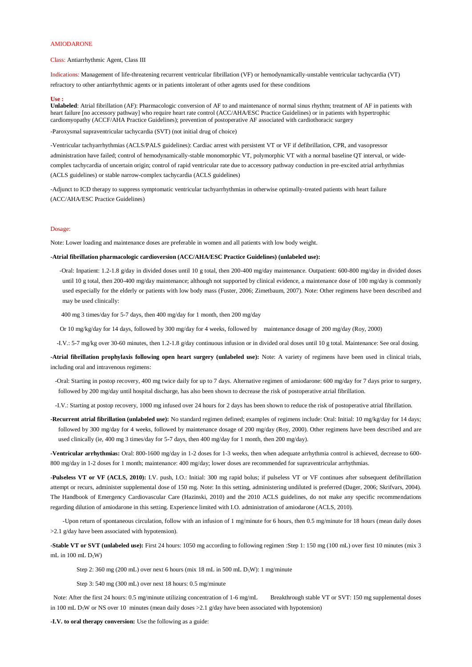# AMIODARONE

Class: Antiarrhythmic Agent, Class III

Indications: Management of life-threatening recurrent ventricular fibrillation (VF) or hemodynamically-unstable ventricular tachycardia (VT) refractory to other antiarrhythmic agents or in patients intolerant of other agents used for these conditions

## **Use :**

**Unlabeled**: Atrial fibrillation (AF): Pharmacologic conversion of AF to and maintenance of normal sinus rhythm; treatment of AF in patients with heart failure [no accessory pathway] who require heart rate control (ACC/AHA/ESC Practice Guidelines) or in patients with hypertrophic cardiomyopathy (ACCF/AHA Practice Guidelines); prevention of postoperative AF associated with cardiothoracic surgery

-Paroxysmal supraventricular tachycardia (SVT) (not initial drug of choice)

-Ventricular tachyarrhythmias (ACLS/PALS guidelines): Cardiac arrest with persistent VT or VF if defibrillation, CPR, and vasopressor administration have failed; control of hemodynamically-stable monomorphic VT, polymorphic VT with a normal baseline QT interval, or widecomplex tachycardia of uncertain origin; control of rapid ventricular rate due to accessory pathway conduction in pre-excited atrial arrhythmias (ACLS guidelines) or stable narrow-complex tachycardia (ACLS guidelines)

-Adjunct to ICD therapy to suppress symptomatic ventricular tachyarrhythmias in otherwise optimally-treated patients with heart failure (ACC/AHA/ESC Practice Guidelines)

#### Dosage:

Note: Lower loading and maintenance doses are preferable in women and all patients with low body weight.

## **-Atrial fibrillation pharmacologic cardioversion (ACC/AHA/ESC Practice Guidelines) (unlabeled use):**

 -Oral: Inpatient: 1.2-1.8 g/day in divided doses until 10 g total, then 200-400 mg/day maintenance. Outpatient: 600-800 mg/day in divided doses until 10 g total, then 200-400 mg/day maintenance; although not supported by clinical evidence, a maintenance dose of 100 mg/day is commonly used especially for the elderly or patients with low body mass (Fuster, 2006; Zimetbaum, 2007). Note: Other regimens have been described and may be used clinically:

400 mg 3 times/day for 5-7 days, then 400 mg/day for 1 month, then 200 mg/day

**-Stable VT or SVT (unlabeled use):** First 24 hours: 1050 mg according to following regimen :Step 1: 150 mg (100 mL) over first 10 minutes (mix 3 mL in 100 mL  $D_5W$ )

Step 2: 360 mg (200 mL) over next 6 hours (mix 18 mL in 500 mL  $D_5W$ ): 1 mg/minute

Or 10 mg/kg/day for 14 days, followed by 300 mg/day for 4 weeks, followed by maintenance dosage of 200 mg/day (Roy, 2000)

-I.V.: 5-7 mg/kg over 30-60 minutes, then 1.2-1.8 g/day continuous infusion or in divided oral doses until 10 g total. Maintenance: See oral dosing.

**-Atrial fibrillation prophylaxis following open heart surgery (unlabeled use):** Note: A variety of regimens have been used in clinical trials, including oral and intravenous regimens:

 -Oral: Starting in postop recovery, 400 mg twice daily for up to 7 days. Alternative regimen of amiodarone: 600 mg/day for 7 days prior to surgery, followed by 200 mg/day until hospital discharge, has also been shown to decrease the risk of postoperative atrial fibrillation.

-I.V.: Starting at postop recovery, 1000 mg infused over 24 hours for 2 days has been shown to reduce the risk of postoperative atrial fibrillation.

**-Recurrent atrial fibrillation (unlabeled use):** No standard regimen defined; examples of regimens include: Oral: Initial: 10 mg/kg/day for 14 days; followed by 300 mg/day for 4 weeks, followed by maintenance dosage of 200 mg/day (Roy, 2000). Other regimens have been described and are used clinically (ie, 400 mg 3 times/day for 5-7 days, then 400 mg/day for 1 month, then 200 mg/day).

**-Ventricular arrhythmias:** Oral: 800-1600 mg/day in 1-2 doses for 1-3 weeks, then when adequate arrhythmia control is achieved, decrease to 600- 800 mg/day in 1-2 doses for 1 month; maintenance: 400 mg/day; lower doses are recommended for supraventricular arrhythmias.

**-Pulseless VT or VF (ACLS, 2010):** I.V. push, I.O.: Initial: 300 mg rapid bolus; if pulseless VT or VF continues after subsequent defibrillation attempt or recurs, administer supplemental dose of 150 mg. Note: In this setting, administering undiluted is preferred (Dager, 2006; Skrifvars, 2004). The Handbook of Emergency Cardiovascular Care (Hazinski, 2010) and the 2010 ACLS guidelines, do not make any specific recommendations

regarding dilution of amiodarone in this setting. Experience limited with I.O. administration of amiodarone (ACLS, 2010).

 -Upon return of spontaneous circulation, follow with an infusion of 1 mg/minute for 6 hours, then 0.5 mg/minute for 18 hours (mean daily doses >2.1 g/day have been associated with hypotension).

Step 3: 540 mg (300 mL) over next 18 hours: 0.5 mg/minute

Note: After the first 24 hours: 0.5 mg/minute utilizing concentration of 1-6 mg/mL Breakthrough stable VT or SVT: 150 mg supplemental doses in 100 mL D<sub>5</sub>W or NS over 10 minutes (mean daily doses  $>2.1$  g/day have been associated with hypotension)

**-I.V. to oral therapy conversion:** Use the following as a guide: